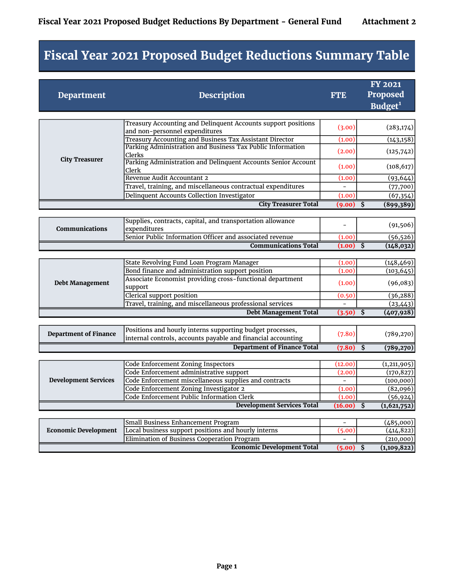## Fiscal Year 2021 Proposed Budget Reductions Summary Table

| <b>Department</b>            | <b>Description</b>                                                                                                        | <b>FTE</b> | <b>FY 2021</b><br><b>Proposed</b>     |
|------------------------------|---------------------------------------------------------------------------------------------------------------------------|------------|---------------------------------------|
|                              |                                                                                                                           |            | Budget <sup>1</sup>                   |
|                              |                                                                                                                           |            |                                       |
|                              | Treasury Accounting and Delinquent Accounts support positions<br>and non-personnel expenditures                           | (3.00)     | (283, 174)                            |
|                              | Treasury Accounting and Business Tax Assistant Director                                                                   | (1.00)     | (143, 158)                            |
|                              | Parking Administration and Business Tax Public Information<br>Clerks                                                      | (2.00)     | (125,742)                             |
| <b>City Treasurer</b>        | Parking Administration and Delinquent Accounts Senior Account<br>Clerk                                                    | (1.00)     | (108, 617)                            |
|                              | Revenue Audit Accountant 2                                                                                                | (1.00)     | (93, 644)                             |
|                              | Travel, training, and miscellaneous contractual expenditures                                                              |            | (77,700)                              |
|                              | Delinquent Accounts Collection Investigator                                                                               | (1.00)     | (67, 354)                             |
|                              | <b>City Treasurer Total</b>                                                                                               | (9.00)     | Ŝ.<br>(899, 389)                      |
|                              |                                                                                                                           |            |                                       |
| Communications               | Supplies, contracts, capital, and transportation allowance<br>expenditures                                                |            | (91, 506)                             |
|                              | Senior Public Information Officer and associated revenue                                                                  | (1.00)     | (56, 526)                             |
|                              | <b>Communications Total</b>                                                                                               | (1.00)     | $\overline{s}$<br>(148, 032)          |
|                              |                                                                                                                           |            |                                       |
|                              | State Revolving Fund Loan Program Manager                                                                                 | (1.00)     | (148, 469)                            |
|                              | Bond finance and administration support position                                                                          | (1.00)     | (103, 645)                            |
| <b>Debt Management</b>       | Associate Economist providing cross-functional department<br>support                                                      | (1.00)     | (96,083)                              |
|                              | <b>Clerical support position</b>                                                                                          | (0.50)     | (36, 288)                             |
|                              | Travel, training, and miscellaneous professional services                                                                 |            | (23, 443)                             |
|                              | <b>Debt Management Total</b>                                                                                              | (3.50)     | Ŝ.<br>(407, 928)                      |
|                              |                                                                                                                           |            |                                       |
| <b>Department of Finance</b> | Positions and hourly interns supporting budget processes,<br>internal controls, accounts payable and financial accounting | (7.80)     | (789, 270)                            |
|                              | <b>Department of Finance Total</b>                                                                                        | (7.80)     | $\overline{\mathsf{s}}$<br>(789, 270) |
|                              |                                                                                                                           |            |                                       |
|                              | <b>Code Enforcement Zoning Inspectors</b>                                                                                 | (12.00)    | (1, 211, 905)                         |
|                              | Code Enforcement administrative support                                                                                   | (2.00)     | (170, 827)                            |
| <b>Development Services</b>  | Code Enforcement miscellaneous supplies and contracts                                                                     |            | (100, 000)                            |
|                              | Code Enforcement Zoning Investigator 2                                                                                    | (1.00)     | (82,096)                              |
|                              | Code Enforcement Public Information Clerk                                                                                 | (1.00)     | (56, 924)                             |
|                              | <b>Development Services Total</b>                                                                                         | (16.00)    | $\overline{s}$<br>(1,621,752)         |
|                              | Small Business Enhancement Program                                                                                        |            | (485,000)                             |
| <b>Economic Development</b>  | Local business support positions and hourly interns                                                                       | (5.00)     | (414, 822)                            |
|                              | Elimination of Business Cooperation Program                                                                               |            | (210,000)                             |
|                              | <b>Economic Development Total</b>                                                                                         | (5.00)     | $\overline{s}$<br>(1, 109, 822)       |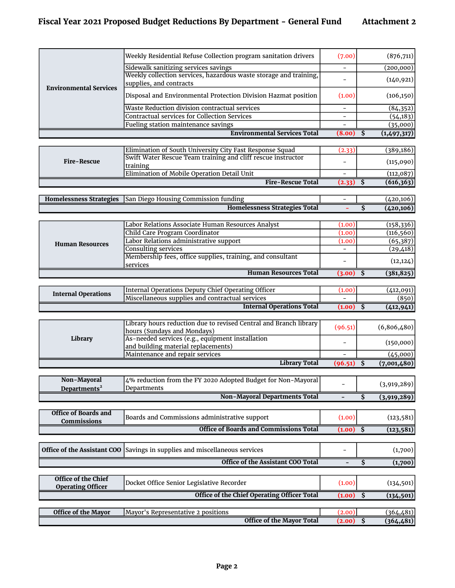## Fiscal Year 2021 Proposed Budget Reductions By Department - General Fund Attachment 2

|                                | Weekly Residential Refuse Collection program sanitation drivers                              | (7.00)                   |                             | (876, 711)  |
|--------------------------------|----------------------------------------------------------------------------------------------|--------------------------|-----------------------------|-------------|
|                                | Sidewalk sanitizing services savings                                                         | $\overline{\phantom{a}}$ |                             | (200,000)   |
|                                | Weekly collection services, hazardous waste storage and training,<br>supplies, and contracts |                          |                             | (140, 921)  |
| <b>Environmental Services</b>  | Disposal and Environmental Protection Division Hazmat position                               | (1.00)                   |                             | (106, 150)  |
|                                | Waste Reduction division contractual services                                                | $\qquad \qquad -$        |                             | (84, 352)   |
|                                | <b>Contractual services for Collection Services</b>                                          | $\overline{\phantom{0}}$ |                             | (54, 183)   |
|                                | Fueling station maintenance savings                                                          | $\overline{a}$           |                             | (35,000)    |
|                                | <b>Environmental Services Total</b>                                                          | (8.00)                   | \$                          | (1,497,317) |
|                                |                                                                                              |                          |                             |             |
|                                | Elimination of South University City Fast Response Squad                                     | (2.33)                   |                             | (389, 186)  |
| <b>Fire-Rescue</b>             | Swift Water Rescue Team training and cliff rescue instructor                                 |                          |                             | (115,090)   |
|                                | training<br>Elimination of Mobile Operation Detail Unit                                      |                          |                             | (112,087)   |
|                                | <b>Fire-Rescue Total</b>                                                                     | (2.33)                   | \$                          | (616, 363)  |
|                                |                                                                                              |                          |                             |             |
| <b>Homelessness Strategies</b> | San Diego Housing Commission funding                                                         |                          |                             | (420, 106)  |
|                                | <b>Homelessness Strategies Total</b>                                                         |                          | Ś                           | (420, 106)  |
|                                |                                                                                              |                          |                             |             |
|                                | Labor Relations Associate Human Resources Analyst                                            | (1.00)                   |                             | (158, 336)  |
|                                | Child Care Program Coordinator                                                               | (1.00)                   |                             | (116, 560)  |
| <b>Human Resources</b>         | Labor Relations administrative support                                                       | (1.00)                   |                             | (65, 387)   |
|                                | <b>Consulting services</b>                                                                   | $\overline{\phantom{0}}$ |                             | (29, 418)   |
|                                | Membership fees, office supplies, training, and consultant<br>services                       |                          |                             | (12, 124)   |
|                                | <b>Human Resources Total</b>                                                                 | (3.00)                   | \$                          | (381, 825)  |
|                                |                                                                                              |                          |                             |             |
| <b>Internal Operations</b>     | <b>Internal Operations Deputy Chief Operating Officer</b>                                    | (1.00)                   |                             | (412,091)   |
|                                | Miscellaneous supplies and contractual services                                              |                          |                             | (850)       |
|                                | <b>Internal Operations Total</b>                                                             | (1.00)                   | Ŝ                           | (412, 941)  |
|                                | Library hours reduction due to revised Central and Branch library                            |                          |                             |             |
|                                | hours (Sundays and Mondays)                                                                  | (96.51)                  |                             | (6,806,480) |
| Library                        | As-needed services (e.g., equipment installation                                             |                          |                             |             |
|                                | and building material replacements)                                                          |                          |                             | (150,000)   |
|                                | Maintenance and repair services                                                              |                          |                             | (45,000)    |
|                                | <b>Library Total</b>                                                                         | (96.51)                  | \$                          | (7,001,480) |
|                                |                                                                                              |                          |                             |             |
| Non-Mayoral                    | 4% reduction from the FY 2020 Adopted Budget for Non-Mayoral                                 |                          |                             | (3,919,289) |
| Departments <sup>2</sup>       | Departments                                                                                  |                          |                             |             |
|                                | <b>Non-Mayoral Departments Total</b>                                                         | $\blacksquare$           | $\overline{\boldsymbol{s}}$ | (3,919,289) |
| <b>Office of Boards and</b>    |                                                                                              |                          |                             |             |
| <b>Commissions</b>             | Boards and Commissions administrative support                                                | (1.00)                   |                             | (123, 581)  |

| 0011111119910119           |                                                                                   |        |            |
|----------------------------|-----------------------------------------------------------------------------------|--------|------------|
|                            | <b>Office of Boards and Commissions Total</b>                                     | (1.00) | (123, 581) |
|                            |                                                                                   |        |            |
|                            | <b>Office of the Assistant COO</b> Savings in supplies and miscellaneous services |        | (1,700)    |
|                            | <b>Office of the Assistant COO Total</b>                                          |        | (1,700)    |
|                            |                                                                                   |        |            |
| <b>Office of the Chief</b> | Docket Office Senior Legislative Recorder                                         | (1.00) | (134, 501) |
| <b>Operating Officer</b>   |                                                                                   |        |            |
|                            | <b>Office of the Chief Operating Officer Total</b>                                | (1.00) | (134, 501) |
|                            |                                                                                   |        |            |
| <b>Office of the Mayor</b> | Mayor's Representative 2 positions                                                | (2.00) | (364,481)  |
|                            | <b>Office of the Mayor Total</b>                                                  | (2.00) | (364, 481) |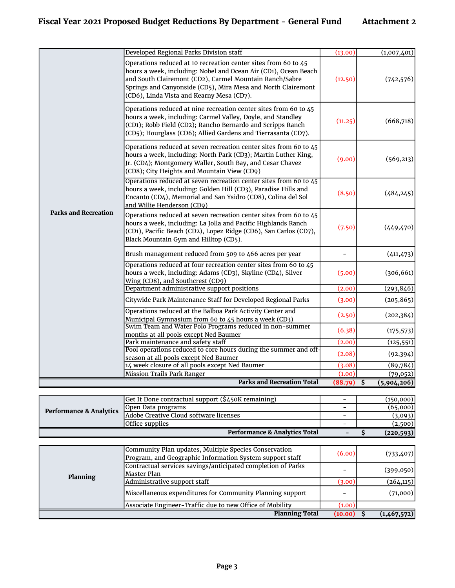$(10.00)$  \$  $(1,467,572)$ 

|                                    | Developed Regional Parks Division staff                                                                                                                                                                                                                                                                   | (13.00)                  |                         | (1,007,401) |
|------------------------------------|-----------------------------------------------------------------------------------------------------------------------------------------------------------------------------------------------------------------------------------------------------------------------------------------------------------|--------------------------|-------------------------|-------------|
|                                    | Operations reduced at 10 recreation center sites from 60 to 45<br>hours a week, including: Nobel and Ocean Air (CD1), Ocean Beach<br>and South Clairemont (CD2), Carmel Mountain Ranch/Sabre<br>Springs and Canyonside (CD5), Mira Mesa and North Clairemont<br>(CD6), Linda Vista and Kearny Mesa (CD7). | (12.50)                  |                         | (742, 576)  |
|                                    | Operations reduced at nine recreation center sites from 60 to 45<br>hours a week, including: Carmel Valley, Doyle, and Standley<br>(CD1); Robb Field (CD2); Rancho Bernardo and Scripps Ranch<br>(CD5); Hourglass (CD6); Allied Gardens and Tierrasanta (CD7).                                            | (11.25)                  |                         | (668,718)   |
|                                    | Operations reduced at seven recreation center sites from 60 to 45<br>hours a week, including: North Park (CD3); Martin Luther King,<br>Jr. (CD4); Montgomery Waller, South Bay, and Cesar Chavez<br>(CD8); City Heights and Mountain View (CD9)                                                           | (9.00)                   |                         | (569, 213)  |
|                                    | Operations reduced at seven recreation center sites from 60 to 45<br>hours a week, including: Golden Hill (CD3), Paradise Hills and<br>Encanto (CD4), Memorial and San Ysidro (CD8), Colina del Sol<br>and Willie Henderson (CD9)                                                                         | (8.50)                   |                         | (484, 245)  |
| <b>Parks and Recreation</b>        | Operations reduced at seven recreation center sites from 60 to 45<br>hours a week, including: La Jolla and Pacific Highlands Ranch<br>(CD1), Pacific Beach (CD2), Lopez Ridge (CD6), San Carlos (CD7),<br>Black Mountain Gym and Hilltop (CD5).                                                           | (7.50)                   |                         | (449, 470)  |
|                                    | Brush management reduced from 509 to 466 acres per year                                                                                                                                                                                                                                                   | $\overline{\phantom{a}}$ |                         | (411, 473)  |
|                                    | Operations reduced at four recreation center sites from 60 to 45<br>hours a week, including: Adams (CD3), Skyline (CD4), Silver<br>Wing (CD8), and Southcrest (CD9)                                                                                                                                       | (5.00)                   |                         | (306, 661)  |
|                                    | Department administrative support positions                                                                                                                                                                                                                                                               | (2.00)                   |                         | (293, 846)  |
|                                    | Citywide Park Maintenance Staff for Developed Regional Parks                                                                                                                                                                                                                                              | (3.00)                   |                         | (205, 865)  |
|                                    | Operations reduced at the Balboa Park Activity Center and                                                                                                                                                                                                                                                 |                          |                         |             |
|                                    | Municipal Gymnasium from 60 to 45 hours a week (CD3)                                                                                                                                                                                                                                                      | (2.50)                   |                         | (202, 384)  |
|                                    | Swim Team and Water Polo Programs reduced in non-summer<br>months at all pools except Ned Baumer                                                                                                                                                                                                          | (6.38)                   |                         | (175, 573)  |
|                                    | Park maintenance and safety staff                                                                                                                                                                                                                                                                         | (2.00)                   |                         | (125, 551)  |
|                                    | Pool operations reduced to core hours during the summer and off-                                                                                                                                                                                                                                          | (2.08)                   |                         | (92, 394)   |
|                                    | season at all pools except Ned Baumer                                                                                                                                                                                                                                                                     |                          |                         |             |
|                                    | 14 week closure of all pools except Ned Baumer                                                                                                                                                                                                                                                            | (3.08)                   |                         | (89, 784)   |
|                                    | Mission Trails Park Ranger                                                                                                                                                                                                                                                                                | (1.00)                   |                         | (79,052)    |
|                                    | <b>Parks and Recreation Total</b>                                                                                                                                                                                                                                                                         | $(88.79)$ \$             |                         | (5,904,206) |
|                                    | Get It Done contractual support (\$450K remaining)                                                                                                                                                                                                                                                        | $\overline{\phantom{a}}$ |                         | (150,000)   |
|                                    | Open Data programs                                                                                                                                                                                                                                                                                        |                          |                         | (65,000)    |
| <b>Performance &amp; Analytics</b> | <b>Adobe Creative Cloud software licenses</b>                                                                                                                                                                                                                                                             | $\overline{\phantom{a}}$ |                         | (3,093)     |
|                                    | Office supplies                                                                                                                                                                                                                                                                                           |                          |                         | (2,500)     |
|                                    | <b>Performance &amp; Analytics Total</b>                                                                                                                                                                                                                                                                  |                          | \$                      | (220, 593)  |
|                                    |                                                                                                                                                                                                                                                                                                           |                          |                         |             |
|                                    | Community Plan updates, Multiple Species Conservation                                                                                                                                                                                                                                                     |                          |                         |             |
|                                    | Program, and Geographic Information System support staff                                                                                                                                                                                                                                                  | (6.00)                   |                         | (733, 407)  |
|                                    | Contractual services savings/anticipated completion of Parks                                                                                                                                                                                                                                              |                          |                         |             |
| Planning                           | Master Plan                                                                                                                                                                                                                                                                                               |                          |                         | (399,050)   |
|                                    | Administrative support staff                                                                                                                                                                                                                                                                              | (3.00)                   |                         | (264, 115)  |
|                                    | Miscellaneous expenditures for Community Planning support                                                                                                                                                                                                                                                 |                          |                         | (71,000)    |
|                                    | Associate Engineer-Traffic due to new Office of Mobility                                                                                                                                                                                                                                                  | (1.00)                   |                         |             |
|                                    | <b>Planning Total</b>                                                                                                                                                                                                                                                                                     | (10.00)                  | $\overline{\mathbf{s}}$ | (1,467,572) |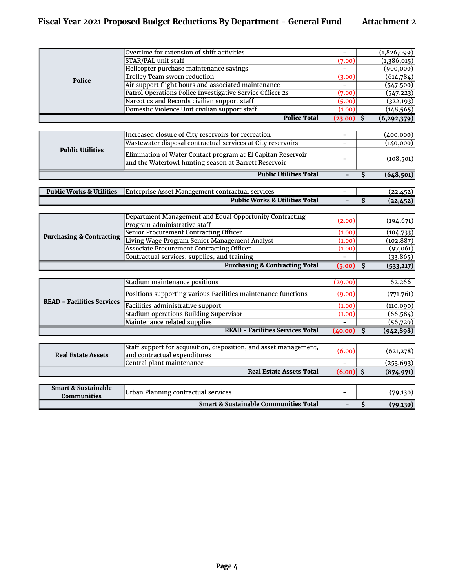## Fiscal Year 2021 Proposed Budget Reductions By Department - General Fund Attachment 2

|                         | Overtime for extension of shift activities                  |         | (1,826,099)            |
|-------------------------|-------------------------------------------------------------|---------|------------------------|
|                         | STAR/PAL unit staff                                         | (7.00)  | (1,386,015)            |
|                         | Helicopter purchase maintenance savings                     |         | (900, 000)             |
| Police                  | Trolley Team sworn reduction                                | (3.00)  | (614, 784)             |
|                         | Air support flight hours and associated maintenance         |         | (547,500)              |
|                         | Patrol Operations Police Investigative Service Officer 2s   | (7.00)  | (547, 223)             |
|                         | Narcotics and Records civilian support staff                | (5.00)  | (322, 193)             |
|                         | Domestic Violence Unit civilian support staff               | (1.00)  | (148, 565)             |
|                         | <b>Police Total</b>                                         | (23.00) | (6, 292, 379)          |
|                         |                                                             |         |                        |
|                         | Increased closure of City reservoirs for recreation         |         | $\overline{(400,000)}$ |
| <b>Public Utilities</b> | Wastewater disposal contractual services at City reservoirs |         | (140,000)              |
|                         |                                                             |         |                        |

|                                     | <b>Public Utilities Total</b>                    | $\overline{\phantom{0}}$ | (648,501) |
|-------------------------------------|--------------------------------------------------|--------------------------|-----------|
|                                     |                                                  |                          |           |
| <b>Public Works &amp; Utilities</b> | Enterprise Asset Management contractual services | $\overline{\phantom{0}}$ | (22,452)  |
|                                     | <b>Public Works &amp; Utilities Total</b>        | $\overline{\phantom{0}}$ | (22, 452) |

| <b>Purchasing &amp; Contracting</b> | Department Management and Equal Opportunity Contracting<br>Program administrative staff | (2.00) | (194, 671) |
|-------------------------------------|-----------------------------------------------------------------------------------------|--------|------------|
|                                     | Senior Procurement Contracting Officer                                                  | (1.00) | (104, 733) |
|                                     | Living Wage Program Senior Management Analyst                                           | (1.00) | (102, 887) |
|                                     | Associate Procurement Contracting Officer                                               | (1.00) | (97,061)   |
|                                     | Contractual services, supplies, and training                                            |        | (33, 865)  |
|                                     | <b>Purchasing &amp; Contracting Total</b>                                               | (5.00) | (533,217)  |

| <b>READ - Facilities Services</b> | Stadium maintenance positions                                 | (29.00) | 62,266     |
|-----------------------------------|---------------------------------------------------------------|---------|------------|
|                                   | Positions supporting various Facilities maintenance functions | (9.00)  | (771,761)  |
|                                   | Facilities administrative support                             | (1.00)  | (110,090)  |
|                                   | Stadium operations Building Supervisor                        | (1.00)  | (66, 584)  |
|                                   | Maintenance related supplies                                  |         | (56, 729)  |
|                                   | <b>READ - Facilities Services Total</b>                       | (40.00) | (942, 898) |

| <b>Real Estate Assets</b>                            | Staff support for acquisition, disposition, and asset management,<br>and contractual expenditures | (6.00)                   | (621,278)  |
|------------------------------------------------------|---------------------------------------------------------------------------------------------------|--------------------------|------------|
|                                                      | Central plant maintenance                                                                         |                          | (253, 693) |
|                                                      | <b>Real Estate Assets Total</b>                                                                   | $(6.00)$ S               | (874, 971) |
|                                                      |                                                                                                   |                          |            |
| <b>Smart &amp; Sustainable</b><br><b>Communities</b> | Urban Planning contractual services                                                               | $\overline{\phantom{0}}$ | (79, 130)  |
|                                                      | <b>Smart &amp; Sustainable Communities Total</b>                                                  |                          | (79,130)   |